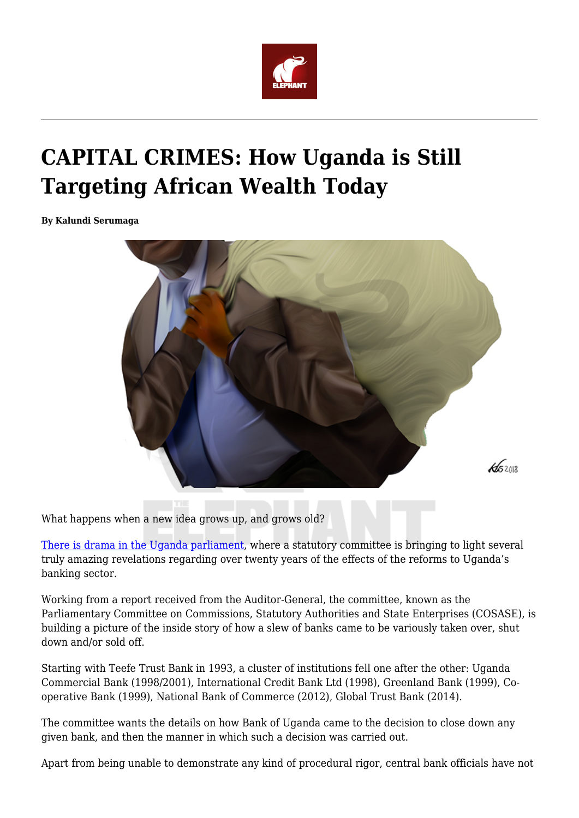

## **CAPITAL CRIMES: How Uganda is Still Targeting African Wealth Today**

**By Kalundi Serumaga**



What happens when a new idea grows up, and grows old?

[There is drama in the Uganda parliament](https://nilepost.co.ug/2018/11/23/cosase-sends-police-ciid-caa-after-bagyenda-as-she-leaves-country-on-short-notice/), where a statutory committee is bringing to light several truly amazing revelations regarding over twenty years of the effects of the reforms to Uganda's banking sector.

Working from a report received from the Auditor-General, the committee, known as the Parliamentary Committee on Commissions, Statutory Authorities and State Enterprises (COSASE), is building a picture of the inside story of how a slew of banks came to be variously taken over, shut down and/or sold off.

Starting with Teefe Trust Bank in 1993, a cluster of institutions fell one after the other: Uganda Commercial Bank (1998/2001), International Credit Bank Ltd (1998), Greenland Bank (1999), Cooperative Bank (1999), National Bank of Commerce (2012), Global Trust Bank (2014).

The committee wants the details on how Bank of Uganda came to the decision to close down any given bank, and then the manner in which such a decision was carried out.

Apart from being unable to demonstrate any kind of procedural rigor, central bank officials have not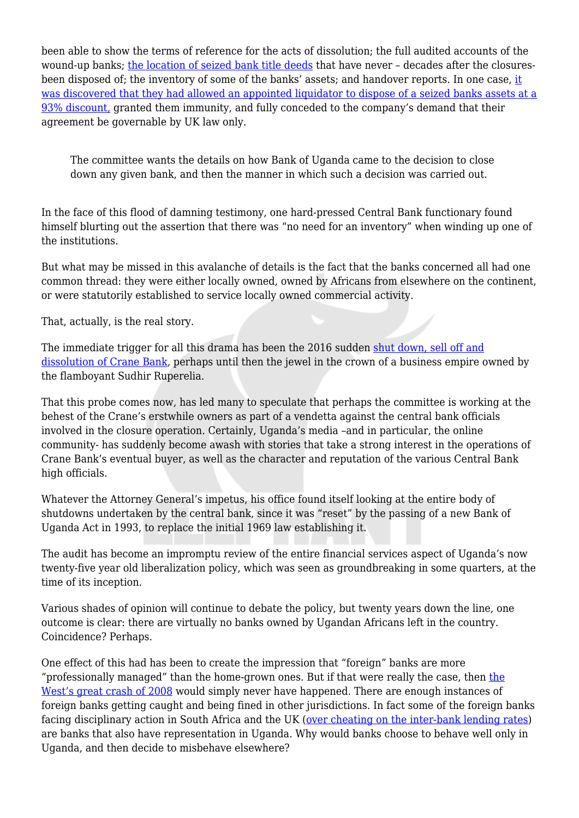been able to show the terms of reference for the acts of dissolution; the full audited accounts of the wound-up banks; [the location of seized bank title deeds](http://radiosapientia.com/news/bou-demanded-to-produce-original-land-titles-for-teefe-bank/) that have never – decades after the closuresbeen disposed of; the inventory of some of the banks' assets; and handover reports. In one case, [it](https://www.monitor.co.ug/News/National/BoU-okayed-firm-use-UK-laws-assets-sale/688334-4863024-tbatef/index.html) [was discovered that they had allowed an appointed liquidator to dispose of a seized banks assets at a](https://www.monitor.co.ug/News/National/BoU-okayed-firm-use-UK-laws-assets-sale/688334-4863024-tbatef/index.html) [93% discount,](https://www.monitor.co.ug/News/National/BoU-okayed-firm-use-UK-laws-assets-sale/688334-4863024-tbatef/index.html) granted them immunity, and fully conceded to the company's demand that their agreement be governable by UK law only.

The committee wants the details on how Bank of Uganda came to the decision to close down any given bank, and then the manner in which such a decision was carried out.

In the face of this flood of damning testimony, one hard-pressed Central Bank functionary found himself blurting out the assertion that there was "no need for an inventory" when winding up one of the institutions.

But what may be missed in this avalanche of details is the fact that the banks concerned all had one common thread: they were either locally owned, owned by Africans from elsewhere on the continent, or were statutorily established to service locally owned commercial activity.

That, actually, is the real story.

The immediate trigger for all this drama has been the 2016 sudden [shut down, sell off and](https://www.bou.or.ug/bou/media/statements/press-release-on-crane-bank.html) [dissolution of Crane Bank](https://www.bou.or.ug/bou/media/statements/press-release-on-crane-bank.html), perhaps until then the jewel in the crown of a business empire owned by the flamboyant Sudhir Ruperelia.

That this probe comes now, has led many to speculate that perhaps the committee is working at the behest of the Crane's erstwhile owners as part of a vendetta against the central bank officials involved in the closure operation. Certainly, Uganda's media –and in particular, the online community- has suddenly become awash with stories that take a strong interest in the operations of Crane Bank's eventual buyer, as well as the character and reputation of the various Central Bank high officials.

Whatever the Attorney General's impetus, his office found itself looking at the entire body of shutdowns undertaken by the central bank, since it was "reset" by the passing of a new Bank of Uganda Act in 1993, to replace the initial 1969 law establishing it.

The audit has become an impromptu review of the entire financial services aspect of Uganda's now twenty-five year old liberalization policy, which was seen as groundbreaking in some quarters, at the time of its inception.

Various shades of opinion will continue to debate the policy, but twenty years down the line, one outcome is clear: there are virtually no banks owned by Ugandan Africans left in the country. Coincidence? Perhaps.

One effect of this had has been to create the impression that "foreign" banks are more "professionally managed" than the home-grown ones. But if that were really the case, then [the](https://www.theguardian.com/business/2008/dec/28/markets-credit-crunch-banking-2008) [West's great crash of 2008](https://www.theguardian.com/business/2008/dec/28/markets-credit-crunch-banking-2008) would simply never have happened. There are enough instances of foreign banks getting caught and being fined in other jurisdictions. In fact some of the foreign banks facing disciplinary action in South Africa and the UK ([over cheating on the inter-bank lending rates](https://www.theguardian.com/business/2016/jul/04/libor-rigging-scandal-three-former-barclays-traders-found-guilty)) are banks that also have representation in Uganda. Why would banks choose to behave well only in Uganda, and then decide to misbehave elsewhere?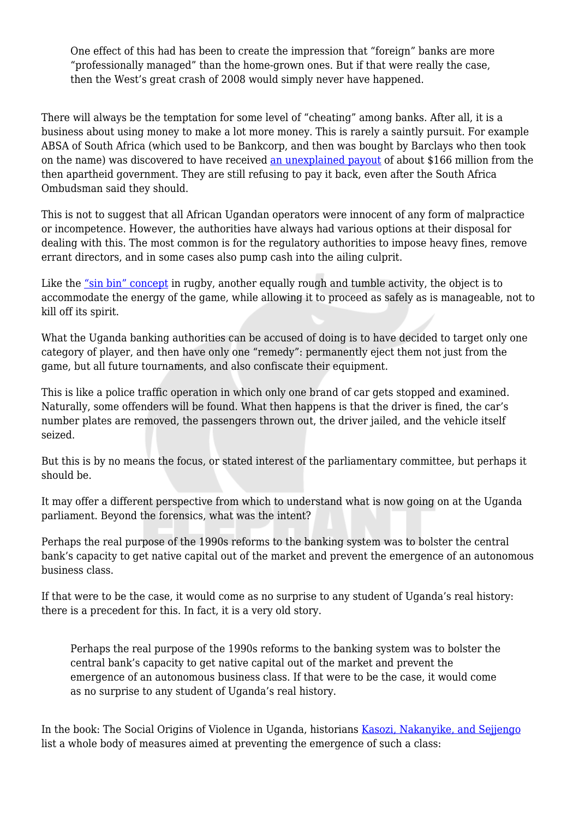One effect of this had has been to create the impression that "foreign" banks are more "professionally managed" than the home-grown ones. But if that were really the case, then the West's great crash of 2008 would simply never have happened.

There will always be the temptation for some level of "cheating" among banks. After all, it is a business about using money to make a lot more money. This is rarely a saintly pursuit. For example ABSA of South Africa (which used to be Bankcorp, and then was bought by Barclays who then took on the name) was discovered to have received [an unexplained payout](https://www.ft.com/content/0a432ed6-d9af-11e6-944b-e7eb37a6aa8e) of about \$166 million from the then apartheid government. They are still refusing to pay it back, even after the South Africa Ombudsman said they should.

This is not to suggest that all African Ugandan operators were innocent of any form of malpractice or incompetence. However, the authorities have always had various options at their disposal for dealing with this. The most common is for the regulatory authorities to impose heavy fines, remove errant directors, and in some cases also pump cash into the ailing culprit.

Like the ["sin bin" concept](https://en.wikipedia.org/wiki/Penalty_box) in rugby, another equally rough and tumble activity, the object is to accommodate the energy of the game, while allowing it to proceed as safely as is manageable, not to kill off its spirit.

What the Uganda banking authorities can be accused of doing is to have decided to target only one category of player, and then have only one "remedy": permanently eject them not just from the game, but all future tournaments, and also confiscate their equipment.

This is like a police traffic operation in which only one brand of car gets stopped and examined. Naturally, some offenders will be found. What then happens is that the driver is fined, the car's number plates are removed, the passengers thrown out, the driver jailed, and the vehicle itself seized.

But this is by no means the focus, or stated interest of the parliamentary committee, but perhaps it should be.

It may offer a different perspective from which to understand what is now going on at the Uganda parliament. Beyond the forensics, what was the intent?

Perhaps the real purpose of the 1990s reforms to the banking system was to bolster the central bank's capacity to get native capital out of the market and prevent the emergence of an autonomous business class.

If that were to be the case, it would come as no surprise to any student of Uganda's real history: there is a precedent for this. In fact, it is a very old story.

Perhaps the real purpose of the 1990s reforms to the banking system was to bolster the central bank's capacity to get native capital out of the market and prevent the emergence of an autonomous business class. If that were to be the case, it would come as no surprise to any student of Uganda's real history.

In the book: The Social Origins of Violence in Uganda, historians [Kasozi, Nakanyike, and Sejjengo](https://www.amazon.com/gp/search?index=books&linkCode=qs&keywords=9780773512184) list a whole body of measures aimed at preventing the emergence of such a class: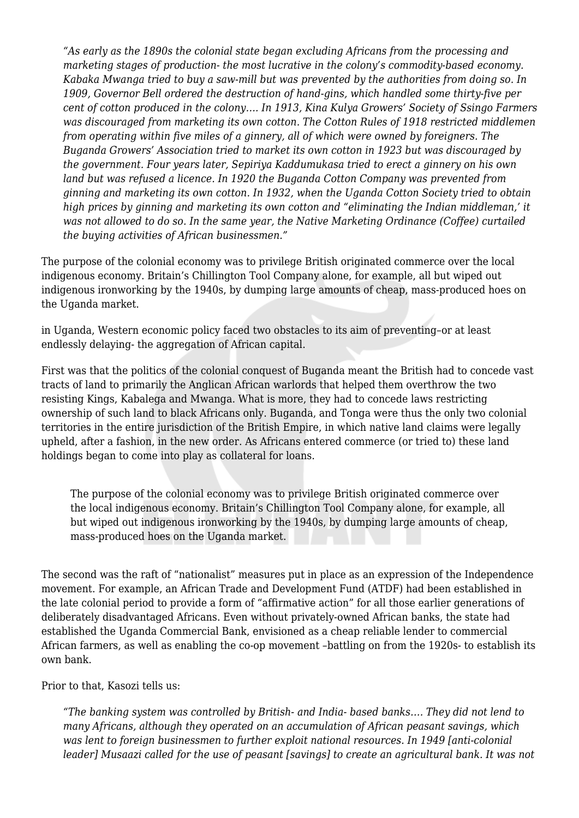*"As early as the 1890s the colonial state began excluding Africans from the processing and marketing stages of production- the most lucrative in the colony's commodity-based economy. Kabaka Mwanga tried to buy a saw-mill but was prevented by the authorities from doing so. In 1909, Governor Bell ordered the destruction of hand-gins, which handled some thirty-five per cent of cotton produced in the colony…. In 1913, Kina Kulya Growers' Society of Ssingo Farmers was discouraged from marketing its own cotton. The Cotton Rules of 1918 restricted middlemen from operating within five miles of a ginnery, all of which were owned by foreigners. The Buganda Growers' Association tried to market its own cotton in 1923 but was discouraged by the government. Four years later, Sepiriya Kaddumukasa tried to erect a ginnery on his own land but was refused a licence. In 1920 the Buganda Cotton Company was prevented from ginning and marketing its own cotton. In 1932, when the Uganda Cotton Society tried to obtain high prices by ginning and marketing its own cotton and "eliminating the Indian middleman,' it was not allowed to do so. In the same year, the Native Marketing Ordinance (Coffee) curtailed the buying activities of African businessmen."*

The purpose of the colonial economy was to privilege British originated commerce over the local indigenous economy. Britain's Chillington Tool Company alone, for example, all but wiped out indigenous ironworking by the 1940s, by dumping large amounts of cheap, mass-produced hoes on the Uganda market.

in Uganda, Western economic policy faced two obstacles to its aim of preventing–or at least endlessly delaying- the aggregation of African capital.

First was that the politics of the colonial conquest of Buganda meant the British had to concede vast tracts of land to primarily the Anglican African warlords that helped them overthrow the two resisting Kings, Kabalega and Mwanga. What is more, they had to concede laws restricting ownership of such land to black Africans only. Buganda, and Tonga were thus the only two colonial territories in the entire jurisdiction of the British Empire, in which native land claims were legally upheld, after a fashion, in the new order. As Africans entered commerce (or tried to) these land holdings began to come into play as collateral for loans.

The purpose of the colonial economy was to privilege British originated commerce over the local indigenous economy. Britain's Chillington Tool Company alone, for example, all but wiped out indigenous ironworking by the 1940s, by dumping large amounts of cheap, mass-produced hoes on the Uganda market.

The second was the raft of "nationalist" measures put in place as an expression of the Independence movement. For example, an African Trade and Development Fund (ATDF) had been established in the late colonial period to provide a form of "affirmative action" for all those earlier generations of deliberately disadvantaged Africans. Even without privately-owned African banks, the state had established the Uganda Commercial Bank, envisioned as a cheap reliable lender to commercial African farmers, as well as enabling the co-op movement –battling on from the 1920s- to establish its own bank.

Prior to that, Kasozi tells us:

*"The banking system was controlled by British- and India- based banks…. They did not lend to many Africans, although they operated on an accumulation of African peasant savings, which was lent to foreign businessmen to further exploit national resources. In 1949 [anti-colonial leader] Musaazi called for the use of peasant [savings] to create an agricultural bank. It was not*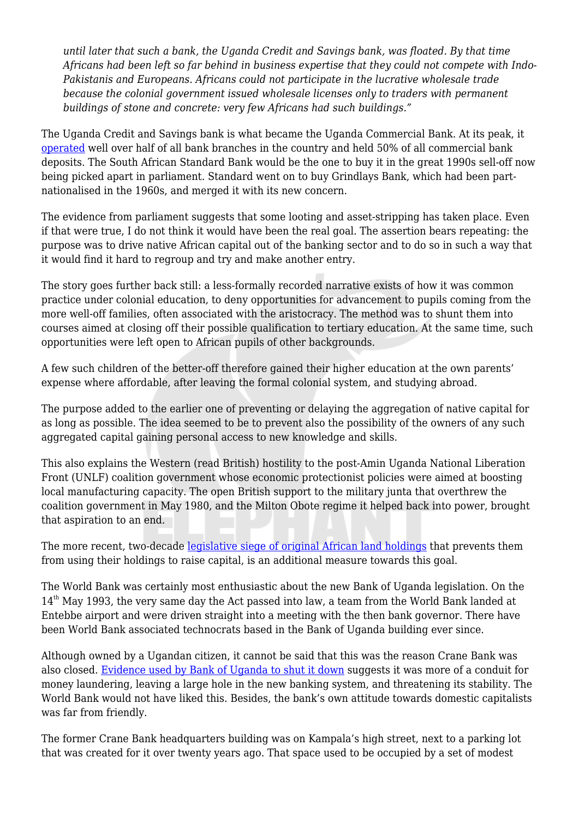*until later that such a bank, the Uganda Credit and Savings bank, was floated. By that time Africans had been left so far behind in business expertise that they could not compete with Indo-Pakistanis and Europeans. Africans could not participate in the lucrative wholesale trade because the colonial government issued wholesale licenses only to traders with permanent buildings of stone and concrete: very few Africans had such buildings."*

The Uganda Credit and Savings bank is what became the Uganda Commercial Bank. At its peak, it [operated](https://en.wikipedia.org/wiki/Uganda_Commercial_Bank) well over half of all bank branches in the country and held 50% of all commercial bank deposits. The South African Standard Bank would be the one to buy it in the great 1990s sell-off now being picked apart in parliament. Standard went on to buy Grindlays Bank, which had been partnationalised in the 1960s, and merged it with its new concern.

The evidence from parliament suggests that some looting and asset-stripping has taken place. Even if that were true, I do not think it would have been the real goal. The assertion bears repeating: the purpose was to drive native African capital out of the banking sector and to do so in such a way that it would find it hard to regroup and try and make another entry.

The story goes further back still: a less-formally recorded narrative exists of how it was common practice under colonial education, to deny opportunities for advancement to pupils coming from the more well-off families, often associated with the aristocracy. The method was to shunt them into courses aimed at closing off their possible qualification to tertiary education. At the same time, such opportunities were left open to African pupils of other backgrounds.

A few such children of the better-off therefore gained their higher education at the own parents' expense where affordable, after leaving the formal colonial system, and studying abroad.

The purpose added to the earlier one of preventing or delaying the aggregation of native capital for as long as possible. The idea seemed to be to prevent also the possibility of the owners of any such aggregated capital gaining personal access to new knowledge and skills.

This also explains the Western (read British) hostility to the post-Amin Uganda National Liberation Front (UNLF) coalition government whose economic protectionist policies were aimed at boosting local manufacturing capacity. The open British support to the military junta that overthrew the coalition government in May 1980, and the Milton Obote regime it helped back into power, brought that aspiration to an end.

The more recent, two-decade [legislative siege of original African land holdings](https://www.theeastafrican.co.ke/oped/comment/434750-653782-ibhnhj/index.html) that prevents them from using their holdings to raise capital, is an additional measure towards this goal.

The World Bank was certainly most enthusiastic about the new Bank of Uganda legislation. On the  $14<sup>th</sup>$  May 1993, the very same day the Act passed into law, a team from the World Bank landed at Entebbe airport and were driven straight into a meeting with the then bank governor. There have been World Bank associated technocrats based in the Bank of Uganda building ever since.

Although owned by a Ugandan citizen, it cannot be said that this was the reason Crane Bank was also closed. [Evidence used by Bank of Uganda to shut it down](https://www.newvision.co.ug/new_vision/news/1481579/crane-bank-mutebile) suggests it was more of a conduit for money laundering, leaving a large hole in the new banking system, and threatening its stability. The World Bank would not have liked this. Besides, the bank's own attitude towards domestic capitalists was far from friendly.

The former Crane Bank headquarters building was on Kampala's high street, next to a parking lot that was created for it over twenty years ago. That space used to be occupied by a set of modest